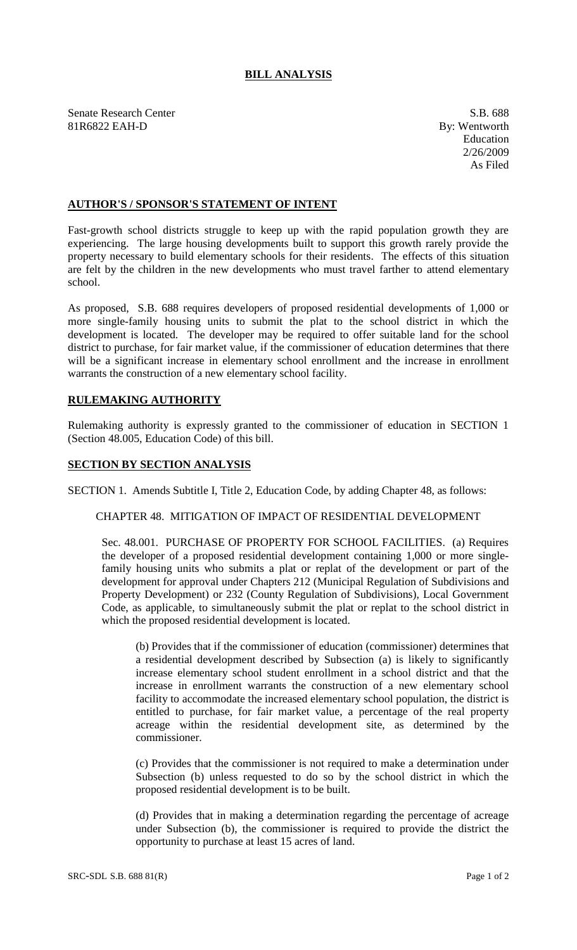# **BILL ANALYSIS**

Senate Research Center S.B. 688 81R6822 EAH-D By: Wentworth

Education 2/26/2009 As Filed

# **AUTHOR'S / SPONSOR'S STATEMENT OF INTENT**

Fast-growth school districts struggle to keep up with the rapid population growth they are experiencing. The large housing developments built to support this growth rarely provide the property necessary to build elementary schools for their residents. The effects of this situation are felt by the children in the new developments who must travel farther to attend elementary school.

As proposed, S.B. 688 requires developers of proposed residential developments of 1,000 or more single-family housing units to submit the plat to the school district in which the development is located. The developer may be required to offer suitable land for the school district to purchase, for fair market value, if the commissioner of education determines that there will be a significant increase in elementary school enrollment and the increase in enrollment warrants the construction of a new elementary school facility.

### **RULEMAKING AUTHORITY**

Rulemaking authority is expressly granted to the commissioner of education in SECTION 1 (Section 48.005, Education Code) of this bill.

#### **SECTION BY SECTION ANALYSIS**

SECTION 1. Amends Subtitle I, Title 2, Education Code, by adding Chapter 48, as follows:

### CHAPTER 48. MITIGATION OF IMPACT OF RESIDENTIAL DEVELOPMENT

Sec. 48.001. PURCHASE OF PROPERTY FOR SCHOOL FACILITIES. (a) Requires the developer of a proposed residential development containing 1,000 or more singlefamily housing units who submits a plat or replat of the development or part of the development for approval under Chapters 212 (Municipal Regulation of Subdivisions and Property Development) or 232 (County Regulation of Subdivisions), Local Government Code, as applicable, to simultaneously submit the plat or replat to the school district in which the proposed residential development is located.

(b) Provides that if the commissioner of education (commissioner) determines that a residential development described by Subsection (a) is likely to significantly increase elementary school student enrollment in a school district and that the increase in enrollment warrants the construction of a new elementary school facility to accommodate the increased elementary school population, the district is entitled to purchase, for fair market value, a percentage of the real property acreage within the residential development site, as determined by the commissioner.

(c) Provides that the commissioner is not required to make a determination under Subsection (b) unless requested to do so by the school district in which the proposed residential development is to be built.

(d) Provides that in making a determination regarding the percentage of acreage under Subsection (b), the commissioner is required to provide the district the opportunity to purchase at least 15 acres of land.